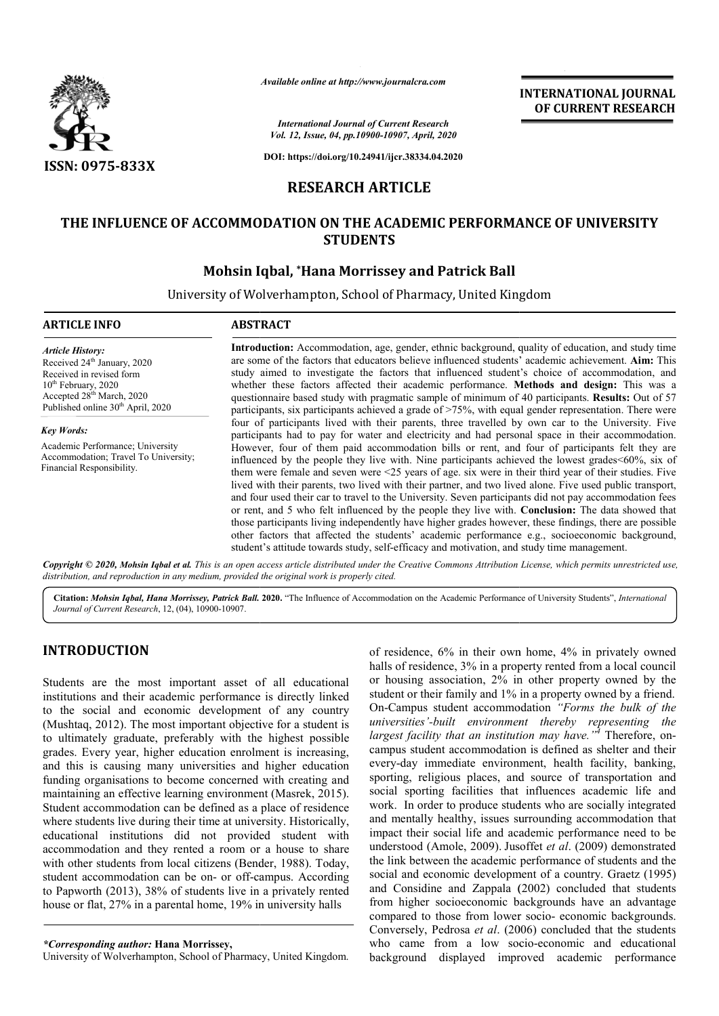

*Available online at http://www.journalcra.com*

*International Journal of Current Research Vol. 12, Issue, 04, pp.10900-10907, April, 2020*

**DOI: https://doi.org/10.24941/ijcr.38334.04.2020**

## **RESEARCH ARTICLE**

### **THE INFLUENCE OF ACCOMMODATION ON THE ACADEMIC PERFORMANCE OF UNIVERSITY ACADEMIC PERFORMANCE STUDENTS**

## **Mohsin Iqbal, \*Hana Morrissey and Patrick Ball**

University of Wolverhampton, School of Pharmacy, United Kingdom

| <b>ARTICLE INFO</b>                                                                                                                                                                                               | <b>ABSTRACT</b>                                                                                                                                                                                                                                                                                                                                                                                                                                                                                                                                                                                                                                                                                                                                                                                                                                                                                                                                          |
|-------------------------------------------------------------------------------------------------------------------------------------------------------------------------------------------------------------------|----------------------------------------------------------------------------------------------------------------------------------------------------------------------------------------------------------------------------------------------------------------------------------------------------------------------------------------------------------------------------------------------------------------------------------------------------------------------------------------------------------------------------------------------------------------------------------------------------------------------------------------------------------------------------------------------------------------------------------------------------------------------------------------------------------------------------------------------------------------------------------------------------------------------------------------------------------|
| <b>Article History:</b><br>Received 24 <sup>th</sup> January, 2020<br>Received in revised form<br>$10th$ February, 2020<br>Accepted 28 <sup>th</sup> March, 2020<br>Published online 30 <sup>th</sup> April, 2020 | Introduction: Accommodation, age, gender, ethnic background, quality of education, and study time<br>are some of the factors that educators believe influenced students' academic achievement. Aim: This<br>study aimed to investigate the factors that influenced student's choice of accommodation, and<br>whether these factors affected their academic performance. Methods and design: This was a<br>questionnaire based study with pragmatic sample of minimum of 40 participants. Results: Out of 57<br>participants, six participants achieved a grade of $>75\%$ , with equal gender representation. There were                                                                                                                                                                                                                                                                                                                                 |
| <b>Key Words:</b>                                                                                                                                                                                                 | four of participants lived with their parents, three travelled by own car to the University. Five<br>participants had to pay for water and electricity and had personal space in their accommodation.                                                                                                                                                                                                                                                                                                                                                                                                                                                                                                                                                                                                                                                                                                                                                    |
| Academic Performance; University<br>Accommodation; Travel To University;<br>Financial Responsibility.                                                                                                             | However, four of them paid accommodation bills or rent, and four of participants felt they are<br>influenced by the people they live with. Nine participants achieved the lowest grades <60%, six of<br>them were female and seven were $\leq 25$ years of age. six were in their third year of their studies. Five<br>lived with their parents, two lived with their partner, and two lived alone. Five used public transport,<br>and four used their car to travel to the University. Seven participants did not pay accommodation fees<br>or rent, and 5 who felt influenced by the people they live with. Conclusion: The data showed that<br>those participants living independently have higher grades however, these findings, there are possible<br>other factors that affected the students' academic performance e.g., socioeconomic background,<br>student's attitude towards study, self-efficacy and motivation, and study time management. |
|                                                                                                                                                                                                                   | Copyright © 2020, Mohsin Igbal et al. This is an open access article distributed under the Creative Commons Attribution License, which permits unrestricted use,                                                                                                                                                                                                                                                                                                                                                                                                                                                                                                                                                                                                                                                                                                                                                                                         |

*distribution, and reproduction in any medium, provided the original work is properly cited.* Citation: Mohsin Iqbal, Hana Morrissey, Patrick Ball. 2020. "The Influence of Accommodation on the Academic Performance of University Students", *International* 

# **INTRODUCTION**

*Journal of Current Research*, 12, (04), 10900-10907.

Students are the most important asset of all educational institutions and their academic performance is directly linked to the social and economic development of any country (Mushtaq, 2012). The most important objective for a student is to ultimately graduate, preferably with the highest possible grades. Every year, higher education enrolment is increasing, and this is causing many universities and higher education funding organisations to become concerned with creating and maintaining an effective learning environment (Masrek, 2015). Student accommodation can be defined as a place of residence where students live during their time at university. Historically, educational institutions did not provided student with accommodation and they rented a room or a house to share with other students from local citizens (Bender, 1988). Today, student accommodation can be on- or off-campus. According to Papworth (2013), 38% of students live in a privately rented house or flat, 27% in a parental home, 19% in university halls campus. According<br>n a privately rented<br>in university halls<br>acy, United Kingdom.

#### *\*Corresponding author:* **Hana Morrissey,**

University of Wolverhampton, School of Pharmacy, United

of residence, 6% in their own home, 4% in privately owned halls of residence, 3% in a property rented from a local council or housing association, 2% in other property owned by the student or their family and 1% in a property owned by a friend. On-Campus student accommodation "Forms the bulk of the *universities'-built environment thereby representing the universities'-built environment thereby representing the largest facility that an institution may have.*"<sup>4</sup> Therefore, oncampus student accommodation is defined as shelter and their every-day immediate environment, health facility, banking, sporting, religious places, and source of transportation and social sporting facilities that influences academic life and work. In order to produce students who are socially integrated and mentally healthy, issues surrounding accommodation that impact their social life and academic performance need to be understood (Amole, 2009). Jusoffet *et al*. (2009) demonstrated the link between the academic performance of students and the social and economic development of a country. Graetz (1995) and Considine and Zappala (2002) concluded that students from higher socioeconomic backgrounds have an advantage compared to those from lower socio- economic backgrounds. Conversely, Pedrosa *et al*. (2006) concluded that the students who came from a low socio-economic and educational background displayed improved academic performance esidence, 6% in their own home, 4% in privately owned<br>s of residence, 3% in a property rented from a local council<br>nousing association, 2% in other property owned by the<br>lent or their family and 1% in a property owned by a is student accommodation is defined as shelter and their lay immediate environment, health facility, banking, g, religious places, and source of transportation and sporting facilities that influences academic life and In o tween the academic performance of students and the economic development of a country. Graetz (1995) dine and Zappala (2002) concluded that students er socioeconomic backgrounds have an advantage to those from lower socio- **INTERNATIONAL JOURNAL**<br> **CF CURRENT RESEARCH**<br> **CF CURRENT RESEARCH**<br> **CF CURRENT RESEARCH**<br> **CF CURRENT RESEARCH**<br> **CF CURRENT RESEARCH**<br> **CF CURRENT RESEARCH**<br> **CF CURRENT RESEARCH**<br> **CF CURRENT ANCE OF UNIVERSITY**<br> **Pa** 

**INTERNATIONAL JOURNAL OF CURRENT RESEARCH**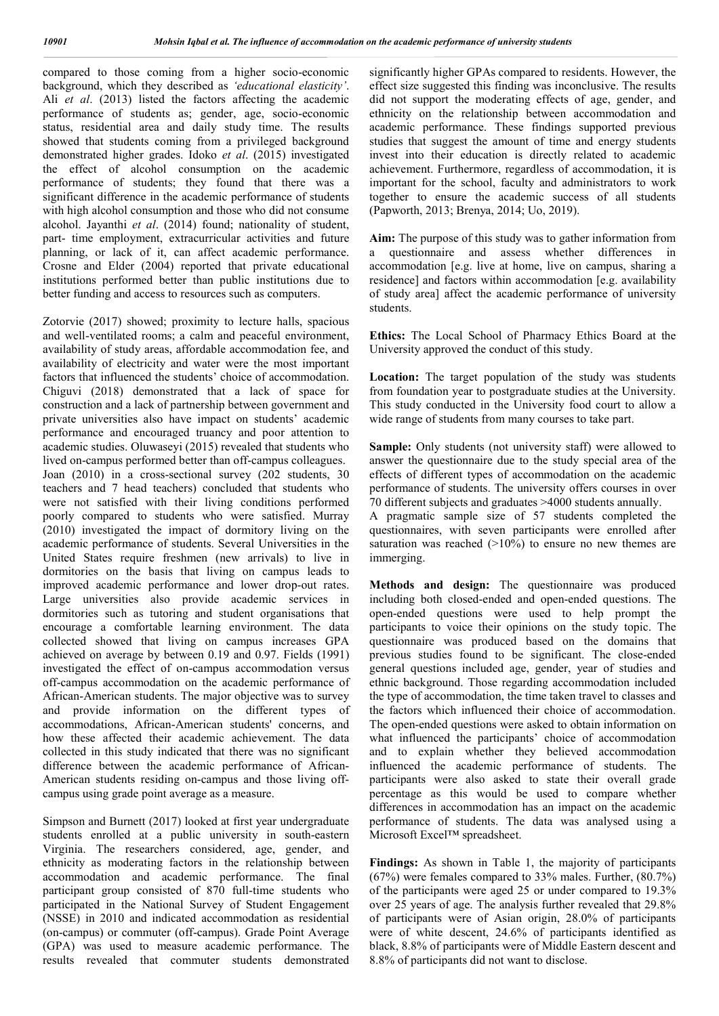compared to those coming from a higher socio-economic background, which they described as *'educational elasticity'*. Ali *et al*. (2013) listed the factors affecting the academic performance of students as; gender, age, socio-economic status, residential area and daily study time. The results showed that students coming from a privileged background demonstrated higher grades. Idoko *et al*. (2015) investigated the effect of alcohol consumption on the academic performance of students; they found that there was a significant difference in the academic performance of students with high alcohol consumption and those who did not consume alcohol. Jayanthi *et al*. (2014) found; nationality of student, part- time employment, extracurricular activities and future planning, or lack of it, can affect academic performance. Crosne and Elder (2004) reported that private educational institutions performed better than public institutions due to better funding and access to resources such as computers.

Zotorvie (2017) showed; proximity to lecture halls, spacious and well-ventilated rooms; a calm and peaceful environment, availability of study areas, affordable accommodation fee, and availability of electricity and water were the most important factors that influenced the students' choice of accommodation. Chiguvi (2018) demonstrated that a lack of space for construction and a lack of partnership between government and private universities also have impact on students' academic performance and encouraged truancy and poor attention to academic studies. Oluwaseyi (2015) revealed that students who lived on-campus performed better than off-campus colleagues. Joan (2010) in a cross-sectional survey (202 students, 30 teachers and 7 head teachers) concluded that students who were not satisfied with their living conditions performed poorly compared to students who were satisfied. Murray (2010) investigated the impact of dormitory living on the academic performance of students. Several Universities in the United States require freshmen (new arrivals) to live in dormitories on the basis that living on campus leads to improved academic performance and lower drop-out rates. Large universities also provide academic services in dormitories such as tutoring and student organisations that encourage a comfortable learning environment. The data collected showed that living on campus increases GPA achieved on average by between 0.19 and 0.97. Fields (1991) investigated the effect of on-campus accommodation versus off-campus accommodation on the academic performance of African-American students. The major objective was to survey and provide information on the different types of accommodations, African-American students' concerns, and how these affected their academic achievement. The data collected in this study indicated that there was no significant difference between the academic performance of African-American students residing on-campus and those living offcampus using grade point average as a measure.

Simpson and Burnett (2017) looked at first year undergraduate students enrolled at a public university in south-eastern Virginia. The researchers considered, age, gender, and ethnicity as moderating factors in the relationship between accommodation and academic performance. The final participant group consisted of 870 full-time students who participated in the National Survey of Student Engagement (NSSE) in 2010 and indicated accommodation as residential (on-campus) or commuter (off-campus). Grade Point Average (GPA) was used to measure academic performance. The results revealed that commuter students demonstrated

significantly higher GPAs compared to residents. However, the effect size suggested this finding was inconclusive. The results did not support the moderating effects of age, gender, and ethnicity on the relationship between accommodation and academic performance. These findings supported previous studies that suggest the amount of time and energy students invest into their education is directly related to academic achievement. Furthermore, regardless of accommodation, it is important for the school, faculty and administrators to work together to ensure the academic success of all students (Papworth, 2013; Brenya, 2014; Uo, 2019).

**Aim:** The purpose of this study was to gather information from a questionnaire and assess whether differences in accommodation [e.g. live at home, live on campus, sharing a residence] and factors within accommodation [e.g. availability of study area] affect the academic performance of university students.

**Ethics:** The Local School of Pharmacy Ethics Board at the University approved the conduct of this study.

Location: The target population of the study was students from foundation year to postgraduate studies at the University. This study conducted in the University food court to allow a wide range of students from many courses to take part.

**Sample:** Only students (not university staff) were allowed to answer the questionnaire due to the study special area of the effects of different types of accommodation on the academic performance of students. The university offers courses in over 70 different subjects and graduates >4000 students annually.

A pragmatic sample size of 57 students completed the questionnaires, with seven participants were enrolled after saturation was reached  $(>10\%)$  to ensure no new themes are immerging.

**Methods and design:** The questionnaire was produced including both closed-ended and open-ended questions. The open-ended questions were used to help prompt the participants to voice their opinions on the study topic. The questionnaire was produced based on the domains that previous studies found to be significant. The close-ended general questions included age, gender, year of studies and ethnic background. Those regarding accommodation included the type of accommodation, the time taken travel to classes and the factors which influenced their choice of accommodation. The open-ended questions were asked to obtain information on what influenced the participants' choice of accommodation and to explain whether they believed accommodation influenced the academic performance of students. The participants were also asked to state their overall grade percentage as this would be used to compare whether differences in accommodation has an impact on the academic performance of students. The data was analysed using a Microsoft Excel™ spreadsheet.

**Findings:** As shown in Table 1, the majority of participants (67%) were females compared to 33% males. Further, (80.7%) of the participants were aged 25 or under compared to 19.3% over 25 years of age. The analysis further revealed that 29.8% of participants were of Asian origin, 28.0% of participants were of white descent, 24.6% of participants identified as black, 8.8% of participants were of Middle Eastern descent and 8.8% of participants did not want to disclose.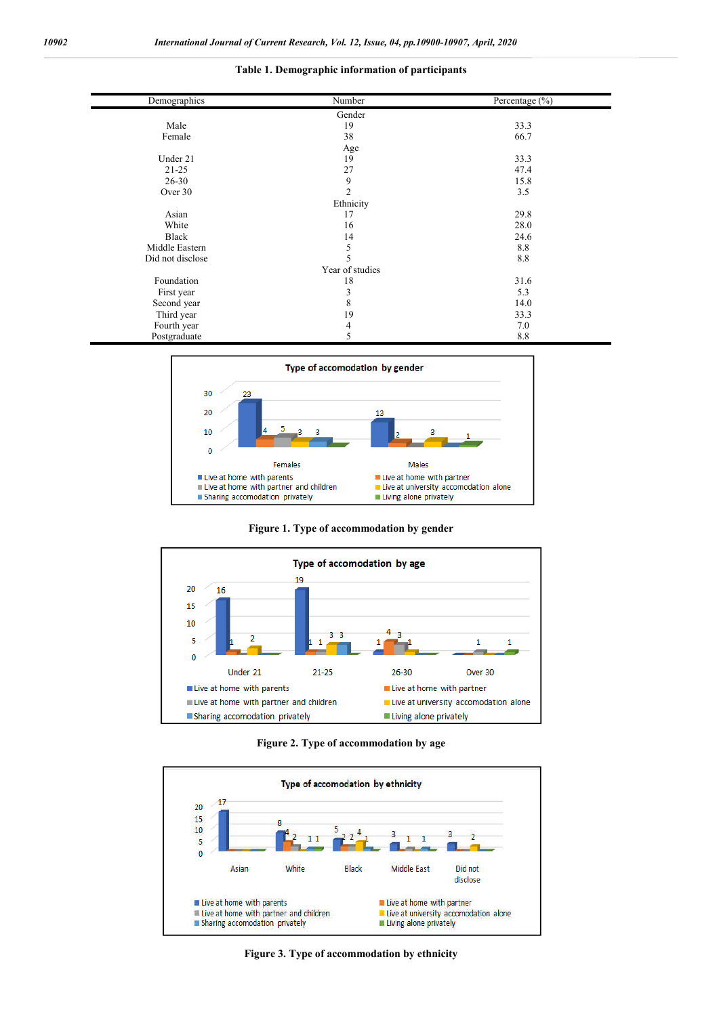#### **Table 1. Demographic information of participants**

| Demographics     | Number          | Percentage (%) |
|------------------|-----------------|----------------|
|                  | Gender          |                |
| Male             | 19              | 33.3           |
| Female           | 38              | 66.7           |
|                  | Age             |                |
| Under 21         | 19              | 33.3           |
| $21 - 25$        | 27              | 47.4           |
| $26 - 30$        | 9               | 15.8           |
| Over 30          | $\overline{2}$  | 3.5            |
|                  | Ethnicity       |                |
| Asian            | 17              | 29.8           |
| White            | 16              | 28.0           |
| Black            | 14              | 24.6           |
| Middle Eastern   | 5               | 8.8            |
| Did not disclose | 5               | 8.8            |
|                  | Year of studies |                |
| Foundation       | 18              | 31.6           |
| First year       | 3               | 5.3            |
| Second year      | 8               | 14.0           |
| Third year       | 19              | 33.3           |
| Fourth year      | 4               | 7.0            |
| Postgraduate     | 5               | 8.8            |



**Figure 1. Type of accommodation by gender**



**Figure 2. Type of accommodation by age**



**Figure 3. Type of accommodation by ethnicity**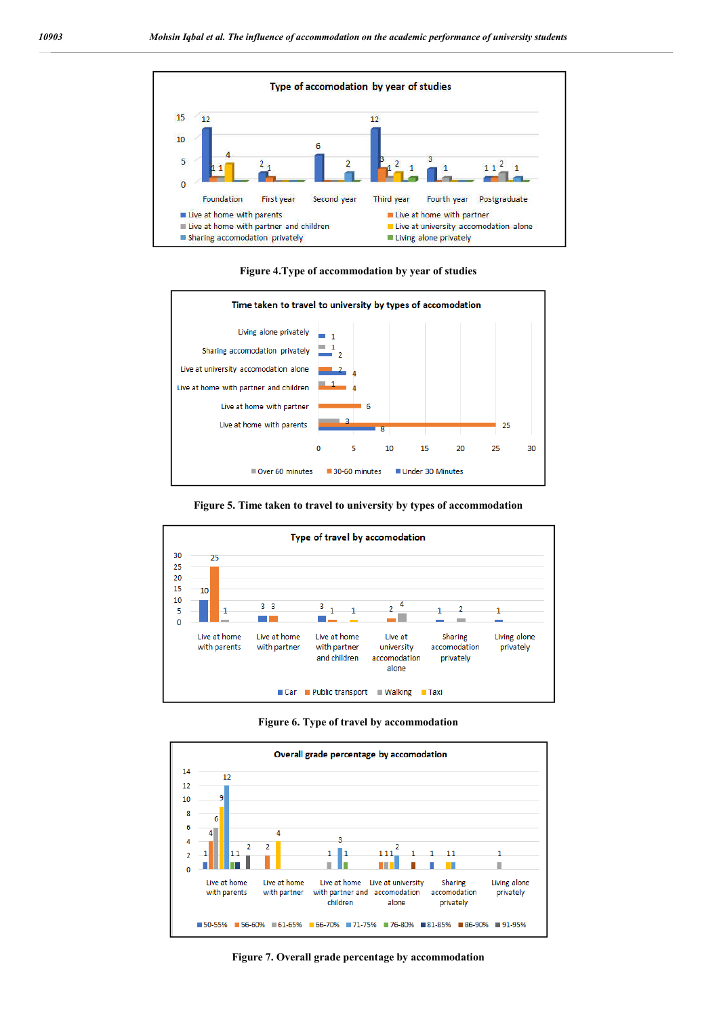

**Figure 4.Type of accommodation by year of studies**



**Figure 5. Time taken to travel to university by types of accommodation**



**Figure 6. Type of travel by accommodation**



**Figure 7. Overall grade percentage by accommodation**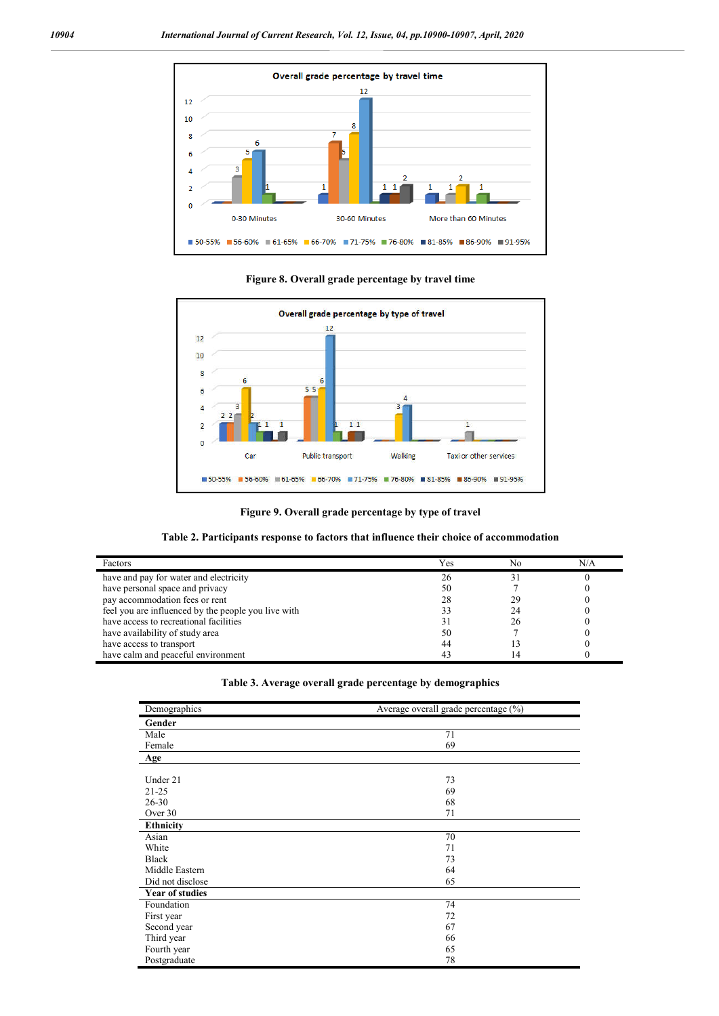

**Figure 8. Overall grade percentage by travel time**



**Figure 9. Overall grade percentage by type of travel**

|  | Table 2. Participants response to factors that influence their choice of accommodation |  |
|--|----------------------------------------------------------------------------------------|--|
|--|----------------------------------------------------------------------------------------|--|

| Factors                                             | Yes | No | N/A |
|-----------------------------------------------------|-----|----|-----|
| have and pay for water and electricity              |     |    |     |
| have personal space and privacy                     | 50  |    |     |
| pay accommodation fees or rent                      |     | 29 |     |
| feel you are influenced by the people you live with |     | 24 |     |
| have access to recreational facilities              |     |    |     |
| have availability of study area                     | 50  |    |     |
| have access to transport                            | 44  |    |     |
| have calm and peaceful environment                  |     |    |     |

|  | Table 3. Average overall grade percentage by demographics |  |  |
|--|-----------------------------------------------------------|--|--|
|  |                                                           |  |  |

| Demographics           | Average overall grade percentage (%) |
|------------------------|--------------------------------------|
| Gender                 |                                      |
| Male                   | 71                                   |
| Female                 | 69                                   |
| Age                    |                                      |
|                        |                                      |
| Under 21               | 73                                   |
| $21 - 25$              | 69                                   |
| $26 - 30$              | 68                                   |
| Over 30                | 71                                   |
| <b>Ethnicity</b>       |                                      |
| Asian                  | 70                                   |
| White                  | 71                                   |
| <b>Black</b>           | 73                                   |
| Middle Eastern         | 64                                   |
| Did not disclose       | 65                                   |
| <b>Year of studies</b> |                                      |
| Foundation             | 74                                   |
| First year             | 72                                   |
| Second year            | 67                                   |
| Third year             | 66                                   |
| Fourth year            | 65                                   |
| Postgraduate           | 78                                   |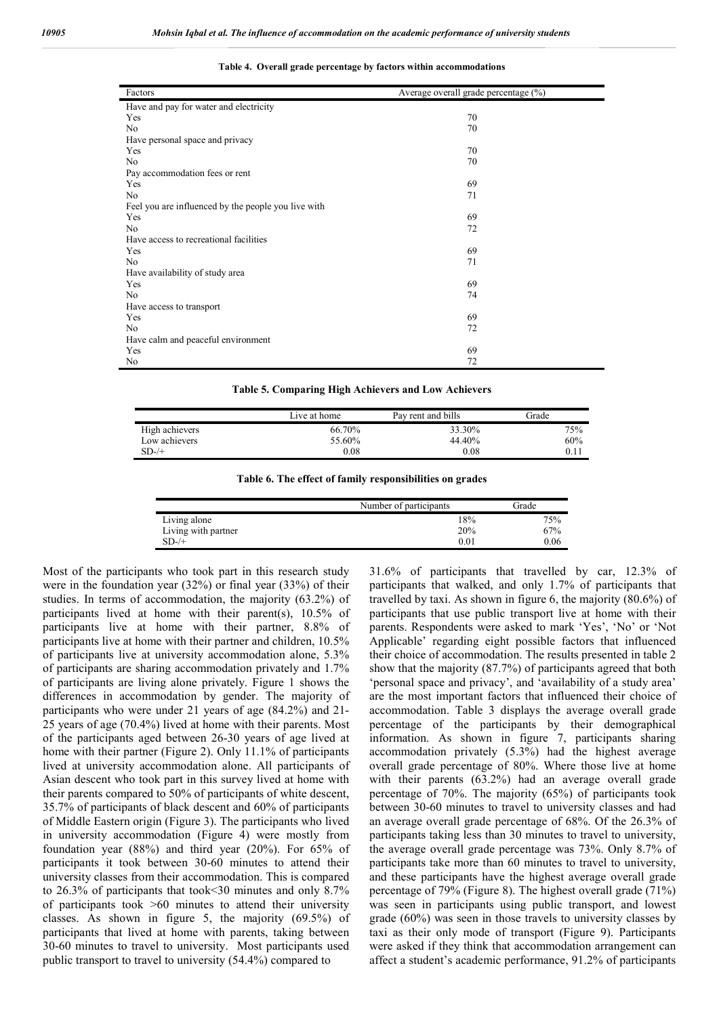| Factors                                             | Average overall grade percentage (%) |
|-----------------------------------------------------|--------------------------------------|
| Have and pay for water and electricity              |                                      |
| Yes                                                 | 70                                   |
| N <sub>o</sub>                                      | 70                                   |
| Have personal space and privacy                     |                                      |
| Yes                                                 | 70                                   |
| N <sub>o</sub>                                      | 70                                   |
|                                                     |                                      |
| Pay accommodation fees or rent<br>Yes               | 69                                   |
| No                                                  | 71                                   |
|                                                     |                                      |
| Feel you are influenced by the people you live with |                                      |
| Yes                                                 | 69                                   |
| N <sub>o</sub>                                      | 72                                   |
| Have access to recreational facilities              |                                      |
| Yes                                                 | 69                                   |
| N <sub>o</sub>                                      | 71                                   |
| Have availability of study area                     |                                      |
| Yes                                                 | 69                                   |
| N <sub>o</sub>                                      | 74                                   |
| Have access to transport                            |                                      |
| Yes                                                 | 69                                   |
| No                                                  | 72                                   |
| Have calm and peaceful environment                  |                                      |
| Yes                                                 | 69                                   |
| No                                                  | 72                                   |

**Table 4. Overall grade percentage by factors within accommodations**

**Table 5. Comparing High Achievers and Low Achievers**

|                | Live at home | Pay rent and bills | Grade |
|----------------|--------------|--------------------|-------|
| High achievers | 66.70%       | 33.30%             | 75%   |
| Low achievers  | 55.60%       | 44.40%             | 60%   |
| $SD-/-$        | 0.08         | 0.08               | 0.1   |

**Table 6. The effect of family responsibilities on grades**

|                     | Number of participants | Grade |
|---------------------|------------------------|-------|
| Living alone        | 18%                    | 75%   |
| Living with partner | 20%                    | 67%   |
| $SD-/-$             | 0.01                   | 0.06  |

Most of the participants who took part in this research study were in the foundation year (32%) or final year (33%) of their studies. In terms of accommodation, the majority (63.2%) of participants lived at home with their parent(s), 10.5% of participants live at home with their partner, 8.8% of participants live at home with their partner and children, 10.5% of participants live at university accommodation alone, 5.3% of participants are sharing accommodation privately and 1.7% of participants are living alone privately. Figure 1 shows the differences in accommodation by gender. The majority of participants who were under 21 years of age (84.2%) and 21- 25 years of age (70.4%) lived at home with their parents. Most of the participants aged between 26-30 years of age lived at home with their partner (Figure 2). Only 11.1% of participants lived at university accommodation alone. All participants of Asian descent who took part in this survey lived at home with their parents compared to 50% of participants of white descent, 35.7% of participants of black descent and 60% of participants of Middle Eastern origin (Figure 3). The participants who lived in university accommodation (Figure 4) were mostly from foundation year (88%) and third year (20%). For 65% of participants it took between 30-60 minutes to attend their university classes from their accommodation. This is compared to 26.3% of participants that took<30 minutes and only 8.7% of participants took >60 minutes to attend their university classes. As shown in figure 5, the majority (69.5%) of participants that lived at home with parents, taking between 30-60 minutes to travel to university. Most participants used public transport to travel to university (54.4%) compared to

31.6% of participants that travelled by car, 12.3% of participants that walked, and only 1.7% of participants that travelled by taxi. As shown in figure 6, the majority (80.6%) of participants that use public transport live at home with their parents. Respondents were asked to mark 'Yes', 'No' or 'Not Applicable' regarding eight possible factors that influenced their choice of accommodation. The results presented in table 2 show that the majority (87.7%) of participants agreed that both 'personal space and privacy', and 'availability of a study area' are the most important factors that influenced their choice of accommodation. Table 3 displays the average overall grade percentage of the participants by their demographical information. As shown in figure 7, participants sharing accommodation privately (5.3%) had the highest average overall grade percentage of 80%. Where those live at home with their parents (63.2%) had an average overall grade percentage of 70%. The majority (65%) of participants took between 30-60 minutes to travel to university classes and had an average overall grade percentage of 68%. Of the 26.3% of participants taking less than 30 minutes to travel to university, the average overall grade percentage was 73%. Only 8.7% of participants take more than 60 minutes to travel to university, and these participants have the highest average overall grade percentage of 79% (Figure 8). The highest overall grade (71%) was seen in participants using public transport, and lowest grade (60%) was seen in those travels to university classes by taxi as their only mode of transport (Figure 9). Participants were asked if they think that accommodation arrangement can affect a student's academic performance, 91.2% of participants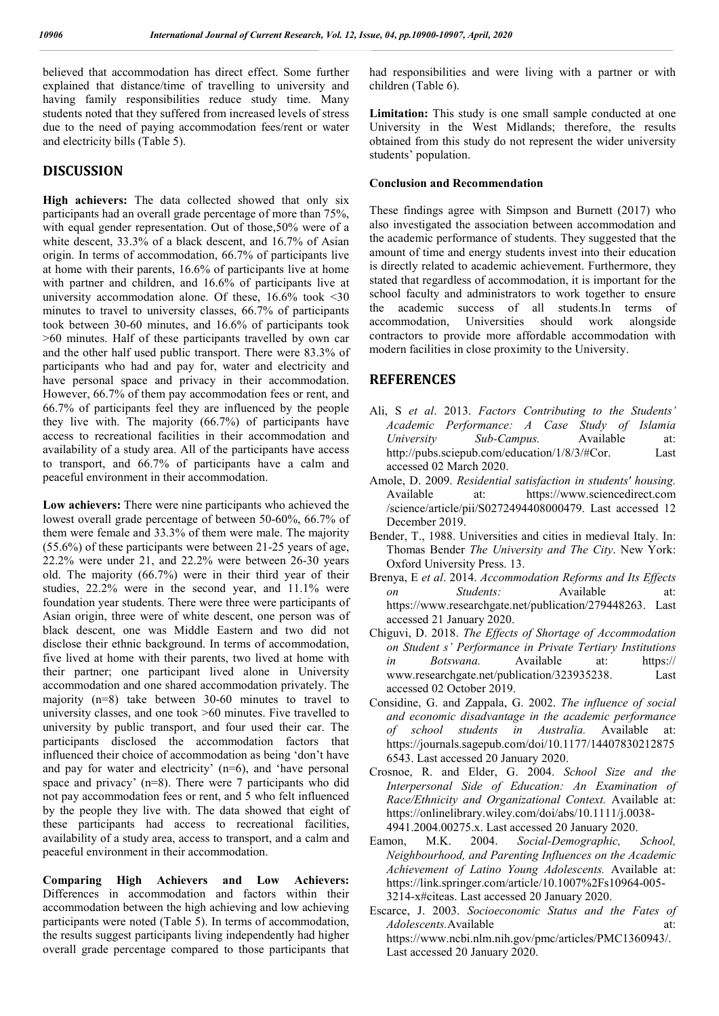believed that accommodation has direct effect. Some further explained that distance/time of travelling to university and having family responsibilities reduce study time. Many students noted that they suffered from increased levels of stress due to the need of paying accommodation fees/rent or water and electricity bills (Table 5).

### **DISCUSSION**

**High achievers:** The data collected showed that only six participants had an overall grade percentage of more than 75%, with equal gender representation. Out of those,50% were of a white descent, 33.3% of a black descent, and 16.7% of Asian origin. In terms of accommodation, 66.7% of participants live at home with their parents, 16.6% of participants live at home with partner and children, and 16.6% of participants live at university accommodation alone. Of these, 16.6% took <30 minutes to travel to university classes, 66.7% of participants took between 30-60 minutes, and 16.6% of participants took >60 minutes. Half of these participants travelled by own car and the other half used public transport. There were 83.3% of participants who had and pay for, water and electricity and have personal space and privacy in their accommodation. However, 66.7% of them pay accommodation fees or rent, and 66.7% of participants feel they are influenced by the people they live with. The majority (66.7%) of participants have access to recreational facilities in their accommodation and availability of a study area. All of the participants have access to transport, and 66.7% of participants have a calm and peaceful environment in their accommodation.

**Low achievers:** There were nine participants who achieved the lowest overall grade percentage of between 50-60%, 66.7% of them were female and 33.3% of them were male. The majority (55.6%) of these participants were between 21-25 years of age, 22.2% were under 21, and 22.2% were between 26-30 years old. The majority (66.7%) were in their third year of their studies, 22.2% were in the second year, and 11.1% were foundation year students. There were three were participants of Asian origin, three were of white descent, one person was of black descent, one was Middle Eastern and two did not disclose their ethnic background. In terms of accommodation, five lived at home with their parents, two lived at home with their partner; one participant lived alone in University accommodation and one shared accommodation privately. The majority (n=8) take between 30-60 minutes to travel to university classes, and one took >60 minutes. Five travelled to university by public transport, and four used their car. The participants disclosed the accommodation factors that influenced their choice of accommodation as being 'don't have and pay for water and electricity'  $(n=6)$ , and 'have personal space and privacy' (n=8). There were 7 participants who did not pay accommodation fees or rent, and 5 who felt influenced by the people they live with. The data showed that eight of these participants had access to recreational facilities, availability of a study area, access to transport, and a calm and peaceful environment in their accommodation.

**Comparing High Achievers and Low Achievers:**  Differences in accommodation and factors within their accommodation between the high achieving and low achieving participants were noted (Table 5). In terms of accommodation, the results suggest participants living independently had higher overall grade percentage compared to those participants that

had responsibilities and were living with a partner or with children (Table 6).

Limitation: This study is one small sample conducted at one University in the West Midlands; therefore, the results obtained from this study do not represent the wider university students' population.

#### **Conclusion and Recommendation**

These findings agree with Simpson and Burnett (2017) who also investigated the association between accommodation and the academic performance of students. They suggested that the amount of time and energy students invest into their education is directly related to academic achievement. Furthermore, they stated that regardless of accommodation, it is important for the school faculty and administrators to work together to ensure the academic success of all students.In terms of accommodation, Universities should work alongside contractors to provide more affordable accommodation with modern facilities in close proximity to the University.

### **REFERENCES**

- Ali, S *et al*. 2013. *Factors Contributing to the Students' Academic Performance: A Case Study of Islamia University Sub-Campus.* Available at: http://pubs.sciepub.com/education/1/8/3/#Cor. Last accessed 02 March 2020.
- Amole, D. 2009. *Residential satisfaction in students' housing.* Available at: https://www.sciencedirect.com /science/article/pii/S0272494408000479. Last accessed 12 December 2019.
- Bender, T., 1988. Universities and cities in medieval Italy. In: Thomas Bender *The University and The City*. New York: Oxford University Press. 13.
- Brenya, E *et al*. 2014. *Accommodation Reforms and Its Effects on Students:* Available at: https://www.researchgate.net/publication/279448263. Last accessed 21 January 2020.
- Chiguvi, D. 2018. *The Effects of Shortage of Accommodation on Student s' Performance in Private Tertiary Institutions in Botswana.* Available at: https:// www.researchgate.net/publication/323935238. Last accessed 02 October 2019.
- Considine, G. and Zappala, G. 2002. *The influence of social and economic disadvantage in the academic performance of school students in Australia.* Available at: https://journals.sagepub.com/doi/10.1177/14407830212875 6543. Last accessed 20 January 2020.
- Crosnoe, R. and Elder, G. 2004. *School Size and the Interpersonal Side of Education: An Examination of Race/Ethnicity and Organizational Context.* Available at: https://onlinelibrary.wiley.com/doi/abs/10.1111/j.0038- 4941.2004.00275.x. Last accessed 20 January 2020.
- Eamon, M.K. 2004. *Social-Demographic, School, Neighbourhood, and Parenting Influences on the Academic Achievement of Latino Young Adolescents.* Available at: https://link.springer.com/article/10.1007%2Fs10964-005- 3214-x#citeas. Last accessed 20 January 2020.
- Escarce, J. 2003. *Socioeconomic Status and the Fates of Adolescents.*Available at: https://www.ncbi.nlm.nih.gov/pmc/articles/PMC1360943/. Last accessed 20 January 2020.